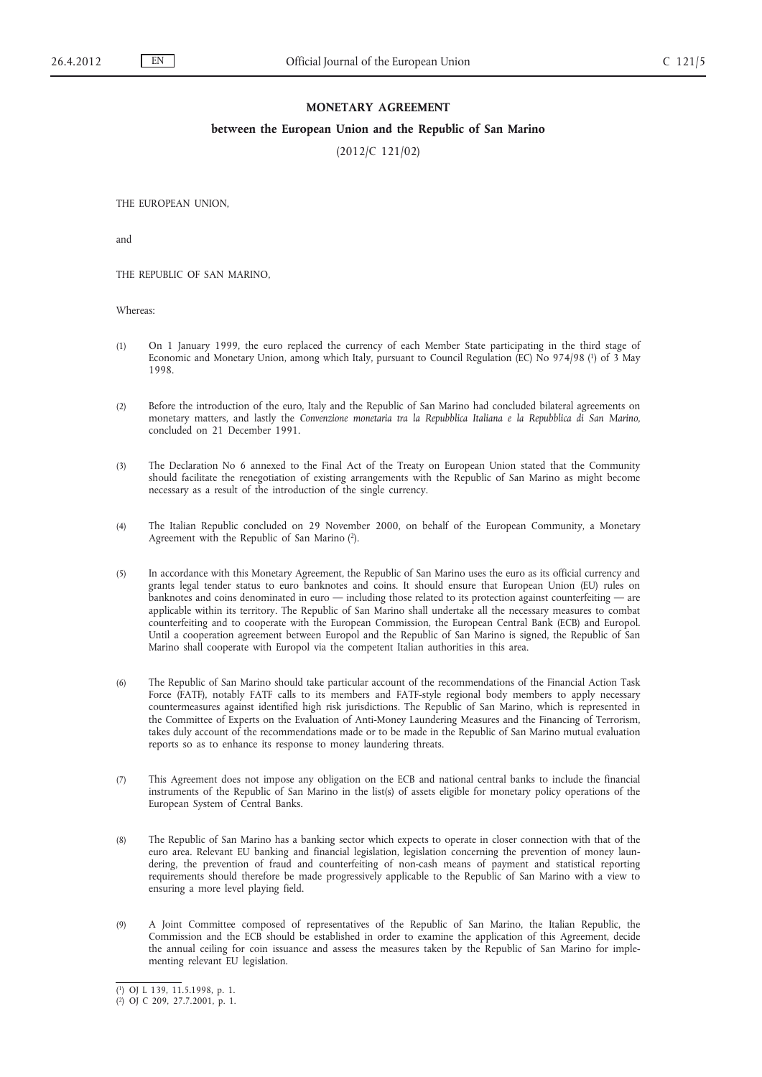# **MONETARY AGREEMENT**

### **between the European Union and the Republic of San Marino**

(2012/C 121/02)

THE EUROPEAN UNION,

and

THE REPUBLIC OF SAN MARINO,

Whereas:

- (1) On 1 January 1999, the euro replaced the currency of each Member State participating in the third stage of Economic and Monetary Union, among which Italy, pursuant to Council Regulation (EC) No 974/98 (1) of 3 May 1998.
- (2) Before the introduction of the euro, Italy and the Republic of San Marino had concluded bilateral agreements on monetary matters, and lastly the *Convenzione monetaria tra la Repubblica Italiana e la Repubblica di San Marino*, concluded on 21 December 1991.
- (3) The Declaration No 6 annexed to the Final Act of the Treaty on European Union stated that the Community should facilitate the renegotiation of existing arrangements with the Republic of San Marino as might become necessary as a result of the introduction of the single currency.
- (4) The Italian Republic concluded on 29 November 2000, on behalf of the European Community, a Monetary Agreement with the Republic of San Marino (2).
- (5) In accordance with this Monetary Agreement, the Republic of San Marino uses the euro as its official currency and grants legal tender status to euro banknotes and coins. It should ensure that European Union (EU) rules on banknotes and coins denominated in euro — including those related to its protection against counterfeiting — are applicable within its territory. The Republic of San Marino shall undertake all the necessary measures to combat counterfeiting and to cooperate with the European Commission, the European Central Bank (ECB) and Europol. Until a cooperation agreement between Europol and the Republic of San Marino is signed, the Republic of San Marino shall cooperate with Europol via the competent Italian authorities in this area.
- (6) The Republic of San Marino should take particular account of the recommendations of the Financial Action Task Force (FATF), notably FATF calls to its members and FATF-style regional body members to apply necessary countermeasures against identified high risk jurisdictions. The Republic of San Marino, which is represented in the Committee of Experts on the Evaluation of Anti-Money Laundering Measures and the Financing of Terrorism, takes duly account of the recommendations made or to be made in the Republic of San Marino mutual evaluation reports so as to enhance its response to money laundering threats.
- (7) This Agreement does not impose any obligation on the ECB and national central banks to include the financial instruments of the Republic of San Marino in the list(s) of assets eligible for monetary policy operations of the European System of Central Banks.
- (8) The Republic of San Marino has a banking sector which expects to operate in closer connection with that of the euro area. Relevant EU banking and financial legislation, legislation concerning the prevention of money laundering, the prevention of fraud and counterfeiting of non-cash means of payment and statistical reporting requirements should therefore be made progressively applicable to the Republic of San Marino with a view to ensuring a more level playing field.
- (9) A Joint Committee composed of representatives of the Republic of San Marino, the Italian Republic, the Commission and the ECB should be established in order to examine the application of this Agreement, decide the annual ceiling for coin issuance and assess the measures taken by the Republic of San Marino for implementing relevant EU legislation.

<sup>(</sup> 1) OJ L 139, 11.5.1998, p. 1.

<sup>(</sup> 2) OJ C 209, 27.7.2001, p. 1.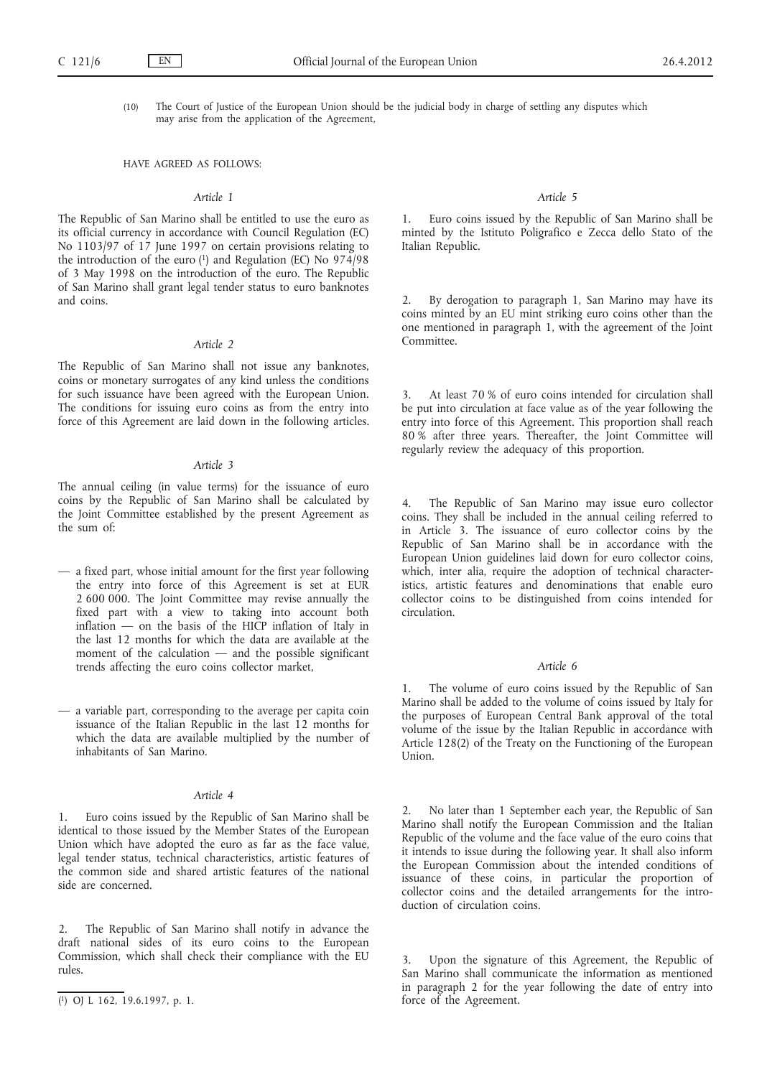- - (10) The Court of Justice of the European Union should be the judicial body in charge of settling any disputes which may arise from the application of the Agreement,

#### HAVE AGREED AS FOLLOWS:

## *Article 1*

The Republic of San Marino shall be entitled to use the euro as its official currency in accordance with Council Regulation (EC) No 1103/97 of 17 June 1997 on certain provisions relating to the introduction of the euro  $(1)$  and Regulation (EC) No 974/98 of 3 May 1998 on the introduction of the euro. The Republic of San Marino shall grant legal tender status to euro banknotes and coins.

#### *Article 2*

The Republic of San Marino shall not issue any banknotes, coins or monetary surrogates of any kind unless the conditions for such issuance have been agreed with the European Union. The conditions for issuing euro coins as from the entry into force of this Agreement are laid down in the following articles.

#### *Article 3*

The annual ceiling (in value terms) for the issuance of euro coins by the Republic of San Marino shall be calculated by the Joint Committee established by the present Agreement as the sum of:

- a fixed part, whose initial amount for the first year following the entry into force of this Agreement is set at EUR 2 600 000. The Joint Committee may revise annually the fixed part with a view to taking into account both inflation — on the basis of the HICP inflation of Italy in the last 12 months for which the data are available at the moment of the calculation — and the possible significant trends affecting the euro coins collector market,
- a variable part, corresponding to the average per capita coin issuance of the Italian Republic in the last 12 months for which the data are available multiplied by the number of inhabitants of San Marino.

## *Article 4*

Euro coins issued by the Republic of San Marino shall be identical to those issued by the Member States of the European Union which have adopted the euro as far as the face value, legal tender status, technical characteristics, artistic features of the common side and shared artistic features of the national side are concerned.

#### *Article 5*

1. Euro coins issued by the Republic of San Marino shall be minted by the Istituto Poligrafico e Zecca dello Stato of the Italian Republic.

By derogation to paragraph 1, San Marino may have its coins minted by an EU mint striking euro coins other than the one mentioned in paragraph 1, with the agreement of the Joint Committee.

3. At least 70 % of euro coins intended for circulation shall be put into circulation at face value as of the year following the entry into force of this Agreement. This proportion shall reach 80 % after three years. Thereafter, the Joint Committee will regularly review the adequacy of this proportion.

4. The Republic of San Marino may issue euro collector coins. They shall be included in the annual ceiling referred to in Article 3. The issuance of euro collector coins by the Republic of San Marino shall be in accordance with the European Union guidelines laid down for euro collector coins, which, inter alia, require the adoption of technical characteristics, artistic features and denominations that enable euro collector coins to be distinguished from coins intended for circulation.

#### *Article 6*

The volume of euro coins issued by the Republic of San Marino shall be added to the volume of coins issued by Italy for the purposes of European Central Bank approval of the total volume of the issue by the Italian Republic in accordance with Article 128(2) of the Treaty on the Functioning of the European Union.

No later than 1 September each year, the Republic of San Marino shall notify the European Commission and the Italian Republic of the volume and the face value of the euro coins that it intends to issue during the following year. It shall also inform the European Commission about the intended conditions of issuance of these coins, in particular the proportion of collector coins and the detailed arrangements for the introduction of circulation coins.

Upon the signature of this Agreement, the Republic of San Marino shall communicate the information as mentioned in paragraph 2 for the year following the date of entry into force of the Agreement.

<sup>2.</sup> The Republic of San Marino shall notify in advance the draft national sides of its euro coins to the European Commission, which shall check their compliance with the EU rules.

<sup>(</sup> 1) OJ L 162, 19.6.1997, p. 1.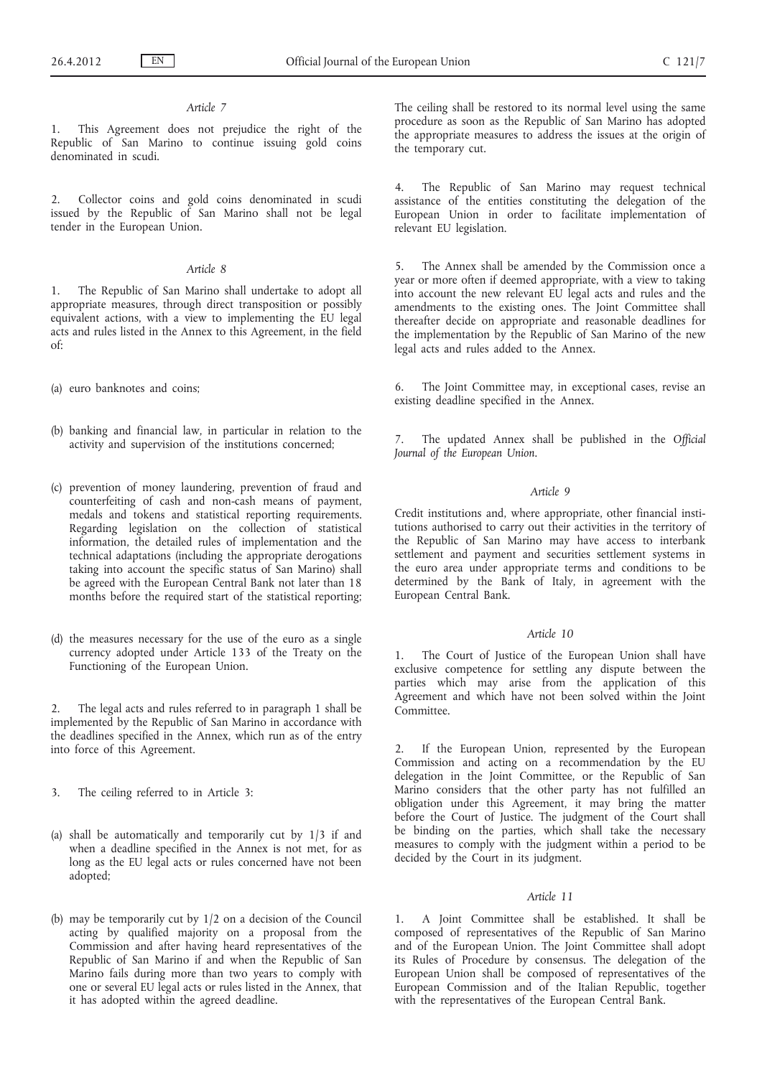### *Article 7*

1. This Agreement does not prejudice the right of the Republic of San Marino to continue issuing gold coins denominated in scudi.

2. Collector coins and gold coins denominated in scudi issued by the Republic of San Marino shall not be legal tender in the European Union.

### *Article 8*

1. The Republic of San Marino shall undertake to adopt all appropriate measures, through direct transposition or possibly equivalent actions, with a view to implementing the EU legal acts and rules listed in the Annex to this Agreement, in the field of:

(a) euro banknotes and coins;

- (b) banking and financial law, in particular in relation to the activity and supervision of the institutions concerned;
- (c) prevention of money laundering, prevention of fraud and counterfeiting of cash and non-cash means of payment, medals and tokens and statistical reporting requirements. Regarding legislation on the collection of statistical information, the detailed rules of implementation and the technical adaptations (including the appropriate derogations taking into account the specific status of San Marino) shall be agreed with the European Central Bank not later than 18 months before the required start of the statistical reporting;
- (d) the measures necessary for the use of the euro as a single currency adopted under Article 133 of the Treaty on the Functioning of the European Union.

The legal acts and rules referred to in paragraph 1 shall be implemented by the Republic of San Marino in accordance with the deadlines specified in the Annex, which run as of the entry into force of this Agreement.

- 3. The ceiling referred to in Article 3:
- (a) shall be automatically and temporarily cut by 1/3 if and when a deadline specified in the Annex is not met, for as long as the EU legal acts or rules concerned have not been adopted;
- (b) may be temporarily cut by 1/2 on a decision of the Council acting by qualified majority on a proposal from the Commission and after having heard representatives of the Republic of San Marino if and when the Republic of San Marino fails during more than two years to comply with one or several EU legal acts or rules listed in the Annex, that it has adopted within the agreed deadline.

The ceiling shall be restored to its normal level using the same procedure as soon as the Republic of San Marino has adopted the appropriate measures to address the issues at the origin of the temporary cut.

4. The Republic of San Marino may request technical assistance of the entities constituting the delegation of the European Union in order to facilitate implementation of relevant EU legislation.

5. The Annex shall be amended by the Commission once a year or more often if deemed appropriate, with a view to taking into account the new relevant EU legal acts and rules and the amendments to the existing ones. The Joint Committee shall thereafter decide on appropriate and reasonable deadlines for the implementation by the Republic of San Marino of the new legal acts and rules added to the Annex.

6. The Joint Committee may, in exceptional cases, revise an existing deadline specified in the Annex.

7. The updated Annex shall be published in the *Official Journal of the European Union*.

## *Article 9*

Credit institutions and, where appropriate, other financial institutions authorised to carry out their activities in the territory of the Republic of San Marino may have access to interbank settlement and payment and securities settlement systems in the euro area under appropriate terms and conditions to be determined by the Bank of Italy, in agreement with the European Central Bank.

### *Article 10*

1. The Court of Justice of the European Union shall have exclusive competence for settling any dispute between the parties which may arise from the application of this Agreement and which have not been solved within the Joint Committee.

2. If the European Union, represented by the European Commission and acting on a recommendation by the EU delegation in the Joint Committee, or the Republic of San Marino considers that the other party has not fulfilled an obligation under this Agreement, it may bring the matter before the Court of Justice. The judgment of the Court shall be binding on the parties, which shall take the necessary measures to comply with the judgment within a period to be decided by the Court in its judgment.

## *Article 11*

1. A Joint Committee shall be established. It shall be composed of representatives of the Republic of San Marino and of the European Union. The Joint Committee shall adopt its Rules of Procedure by consensus. The delegation of the European Union shall be composed of representatives of the European Commission and of the Italian Republic, together with the representatives of the European Central Bank.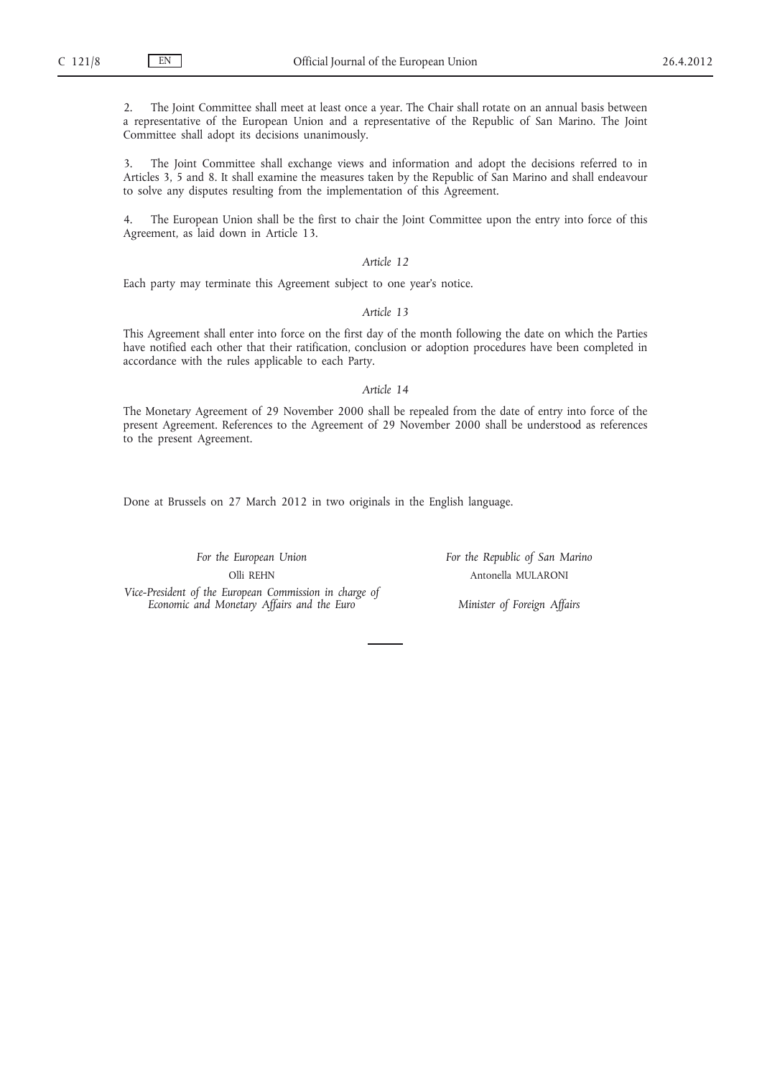2. The Joint Committee shall meet at least once a year. The Chair shall rotate on an annual basis between a representative of the European Union and a representative of the Republic of San Marino. The Joint Committee shall adopt its decisions unanimously.

3. The Joint Committee shall exchange views and information and adopt the decisions referred to in Articles 3, 5 and 8. It shall examine the measures taken by the Republic of San Marino and shall endeavour to solve any disputes resulting from the implementation of this Agreement.

4. The European Union shall be the first to chair the Joint Committee upon the entry into force of this Agreement, as laid down in Article 13.

### *Article 12*

Each party may terminate this Agreement subject to one year's notice.

# *Article 13*

This Agreement shall enter into force on the first day of the month following the date on which the Parties have notified each other that their ratification, conclusion or adoption procedures have been completed in accordance with the rules applicable to each Party.

#### *Article 14*

The Monetary Agreement of 29 November 2000 shall be repealed from the date of entry into force of the present Agreement. References to the Agreement of 29 November 2000 shall be understood as references to the present Agreement.

Done at Brussels on 27 March 2012 in two originals in the English language.

*For the European Union* Olli REHN

*For the Republic of San Marino* Antonella MULARONI

*Vice-President of the European Commission in charge of Economic and Monetary Affairs and the Euro*

*Minister of Foreign Affairs*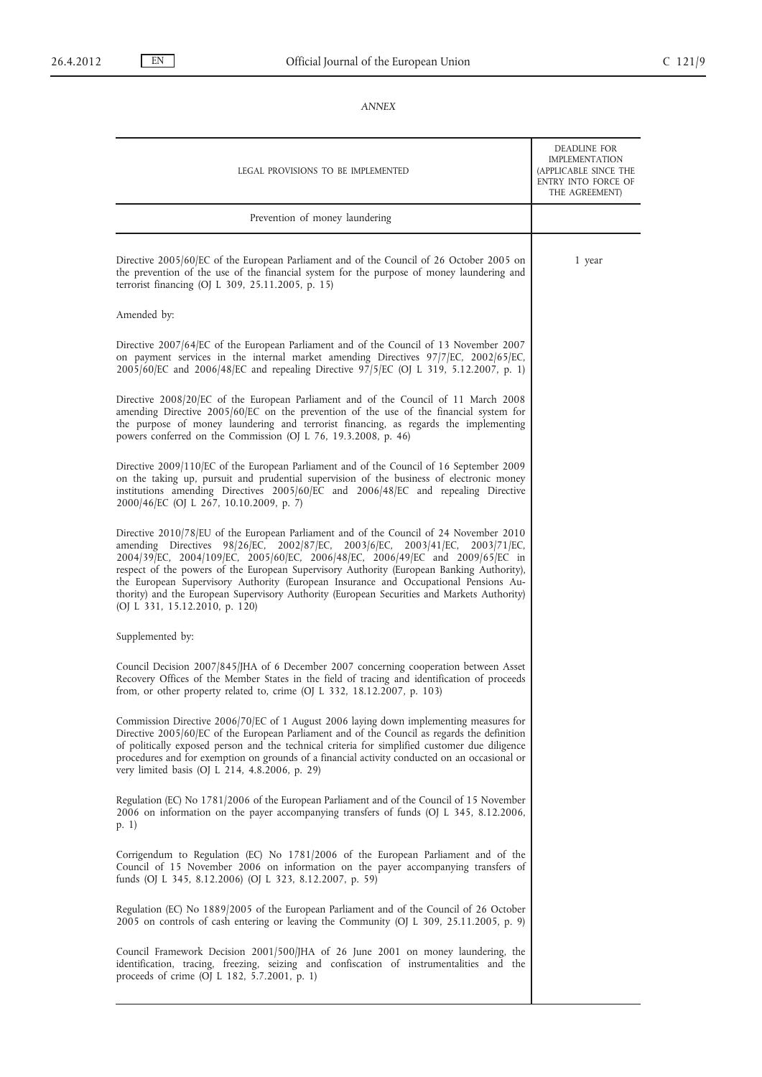# *ANNEX*

| LEGAL PROVISIONS TO BE IMPLEMENTED                                                                                                                                                                                                                                                                                                                                                                                                                                                                                                                                              | DEADLINE FOR<br>IMPLEMENTATION<br>(APPLICABLE SINCE THE<br>ENTRY INTO FORCE OF<br>THE AGREEMENT) |
|---------------------------------------------------------------------------------------------------------------------------------------------------------------------------------------------------------------------------------------------------------------------------------------------------------------------------------------------------------------------------------------------------------------------------------------------------------------------------------------------------------------------------------------------------------------------------------|--------------------------------------------------------------------------------------------------|
| Prevention of money laundering                                                                                                                                                                                                                                                                                                                                                                                                                                                                                                                                                  |                                                                                                  |
| Directive 2005/60/EC of the European Parliament and of the Council of 26 October 2005 on<br>the prevention of the use of the financial system for the purpose of money laundering and<br>terrorist financing (OJ L 309, 25.11.2005, p. 15)                                                                                                                                                                                                                                                                                                                                      | 1 year                                                                                           |
| Amended by:                                                                                                                                                                                                                                                                                                                                                                                                                                                                                                                                                                     |                                                                                                  |
| Directive 2007/64/EC of the European Parliament and of the Council of 13 November 2007<br>on payment services in the internal market amending Directives 97/7/EC, 2002/65/EC,<br>2005/60/EC and 2006/48/EC and repealing Directive 97/5/EC (OJ L 319, 5.12.2007, p. 1)                                                                                                                                                                                                                                                                                                          |                                                                                                  |
| Directive 2008/20/EC of the European Parliament and of the Council of 11 March 2008<br>amending Directive 2005/60/EC on the prevention of the use of the financial system for<br>the purpose of money laundering and terrorist financing, as regards the implementing<br>powers conferred on the Commission (OJ L 76, 19.3.2008, p. 46)                                                                                                                                                                                                                                         |                                                                                                  |
| Directive 2009/110/EC of the European Parliament and of the Council of 16 September 2009<br>on the taking up, pursuit and prudential supervision of the business of electronic money<br>institutions amending Directives 2005/60/EC and 2006/48/EC and repealing Directive<br>2000/46/EC (OJ L 267, 10.10.2009, p. 7)                                                                                                                                                                                                                                                           |                                                                                                  |
| Directive 2010/78/EU of the European Parliament and of the Council of 24 November 2010<br>amending Directives 98/26/EC, 2002/87/EC, 2003/6/EC, 2003/41/EC,<br>2003/71/EC<br>2004/39 EC, 2004/109 EC, 2005/60 EC, 2006/48 EC, 2006/49 EC and 2009 65 EC in<br>respect of the powers of the European Supervisory Authority (European Banking Authority),<br>the European Supervisory Authority (European Insurance and Occupational Pensions Au-<br>thority) and the European Supervisory Authority (European Securities and Markets Authority)<br>(OJ L 331, 15.12.2010, p. 120) |                                                                                                  |
| Supplemented by:                                                                                                                                                                                                                                                                                                                                                                                                                                                                                                                                                                |                                                                                                  |
| Council Decision 2007/845/JHA of 6 December 2007 concerning cooperation between Asset<br>Recovery Offices of the Member States in the field of tracing and identification of proceeds<br>from, or other property related to, crime (OJ L 332, 18.12.2007, p. 103)                                                                                                                                                                                                                                                                                                               |                                                                                                  |
| Commission Directive 2006/70/EC of 1 August 2006 laying down implementing measures for<br>Directive 2005/60/EC of the European Parliament and of the Council as regards the definition<br>of politically exposed person and the technical criteria for simplified customer due diligence<br>procedures and for exemption on grounds of a financial activity conducted on an occasional or<br>very limited basis (OJ L 214, 4.8.2006, p. 29)                                                                                                                                     |                                                                                                  |
| Regulation (EC) No 1781/2006 of the European Parliament and of the Council of 15 November<br>2006 on information on the payer accompanying transfers of funds (OJ L 345, 8.12.2006,<br>p. 1)                                                                                                                                                                                                                                                                                                                                                                                    |                                                                                                  |
| Corrigendum to Regulation (EC) No 1781/2006 of the European Parliament and of the<br>Council of 15 November 2006 on information on the payer accompanying transfers of<br>funds (OJ L 345, 8.12.2006) (OJ L 323, 8.12.2007, p. 59)                                                                                                                                                                                                                                                                                                                                              |                                                                                                  |
| Regulation (EC) No 1889/2005 of the European Parliament and of the Council of 26 October<br>2005 on controls of cash entering or leaving the Community (OJ L 309, 25.11.2005, p. 9)                                                                                                                                                                                                                                                                                                                                                                                             |                                                                                                  |
| Council Framework Decision 2001/500/JHA of 26 June 2001 on money laundering, the<br>identification, tracing, freezing, seizing and confiscation of instrumentalities and the<br>proceeds of crime (OJ L 182, 5.7.2001, p. 1)                                                                                                                                                                                                                                                                                                                                                    |                                                                                                  |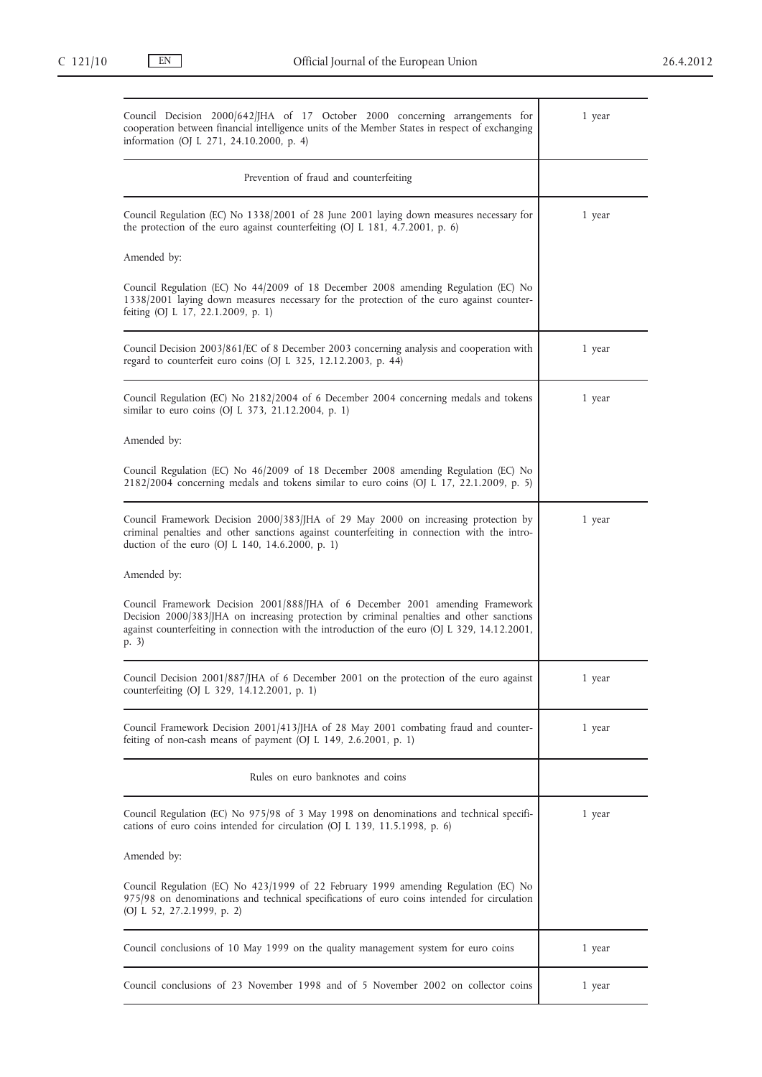| Council Decision 2000/642/JHA of 17 October 2000 concerning arrangements for<br>cooperation between financial intelligence units of the Member States in respect of exchanging<br>information (OJ L 271, 24.10.2000, p. 4)                                                           | 1 year |
|--------------------------------------------------------------------------------------------------------------------------------------------------------------------------------------------------------------------------------------------------------------------------------------|--------|
| Prevention of fraud and counterfeiting                                                                                                                                                                                                                                               |        |
| Council Regulation (EC) No 1338/2001 of 28 June 2001 laying down measures necessary for<br>the protection of the euro against counterfeiting (OJ L 181, 4.7.2001, p. 6)                                                                                                              | 1 year |
| Amended by:                                                                                                                                                                                                                                                                          |        |
| Council Regulation (EC) No 44/2009 of 18 December 2008 amending Regulation (EC) No<br>1338/2001 laying down measures necessary for the protection of the euro against counter-<br>feiting (OJ L 17, 22.1.2009, p. 1)                                                                 |        |
| Council Decision $2003/861$ /EC of 8 December 2003 concerning analysis and cooperation with<br>regard to counterfeit euro coins (OJ L 325, 12.12.2003, p. 44)                                                                                                                        | 1 year |
| Council Regulation (EC) No 2182/2004 of 6 December 2004 concerning medals and tokens<br>similar to euro coins (OJ L 373, 21.12.2004, p. 1)                                                                                                                                           | 1 year |
| Amended by:                                                                                                                                                                                                                                                                          |        |
| Council Regulation (EC) No 46/2009 of 18 December 2008 amending Regulation (EC) No<br>$2182/2004$ concerning medals and tokens similar to euro coins (OJ L 17, 22.1.2009, p. 5)                                                                                                      |        |
| Council Framework Decision 2000/383/JHA of 29 May 2000 on increasing protection by<br>criminal penalties and other sanctions against counterfeiting in connection with the intro-<br>duction of the euro (OJ L 140, 14.6.2000, p. 1)                                                 | 1 year |
| Amended by:                                                                                                                                                                                                                                                                          |        |
| Council Framework Decision 2001/888/JHA of 6 December 2001 amending Framework<br>Decision 2000/383/JHA on increasing protection by criminal penalties and other sanctions<br>against counterfeiting in connection with the introduction of the euro (OJ L 329, 14.12.2001,<br>(p. 3) |        |
| Council Decision 2001/887/JHA of 6 December 2001 on the protection of the euro against<br>counterfeiting (OJ L 329, 14.12.2001, p. 1)                                                                                                                                                | 1 year |
| Council Framework Decision 2001/413/JHA of 28 May 2001 combating fraud and counter-<br>feiting of non-cash means of payment (OJ $L$ 149, 2.6.2001, p. 1)                                                                                                                             | 1 year |
| Rules on euro banknotes and coins                                                                                                                                                                                                                                                    |        |
| Council Regulation (EC) No 975/98 of 3 May 1998 on denominations and technical specifi-<br>cations of euro coins intended for circulation (OJ L 139, 11.5.1998, p. 6)                                                                                                                | 1 year |
| Amended by:                                                                                                                                                                                                                                                                          |        |
| Council Regulation (EC) No 423/1999 of 22 February 1999 amending Regulation (EC) No<br>975/98 on denominations and technical specifications of euro coins intended for circulation<br>(OJ L 52, 27.2.1999, p. 2)                                                                     |        |
| Council conclusions of 10 May 1999 on the quality management system for euro coins                                                                                                                                                                                                   | 1 year |
| Council conclusions of 23 November 1998 and of 5 November 2002 on collector coins                                                                                                                                                                                                    | 1 year |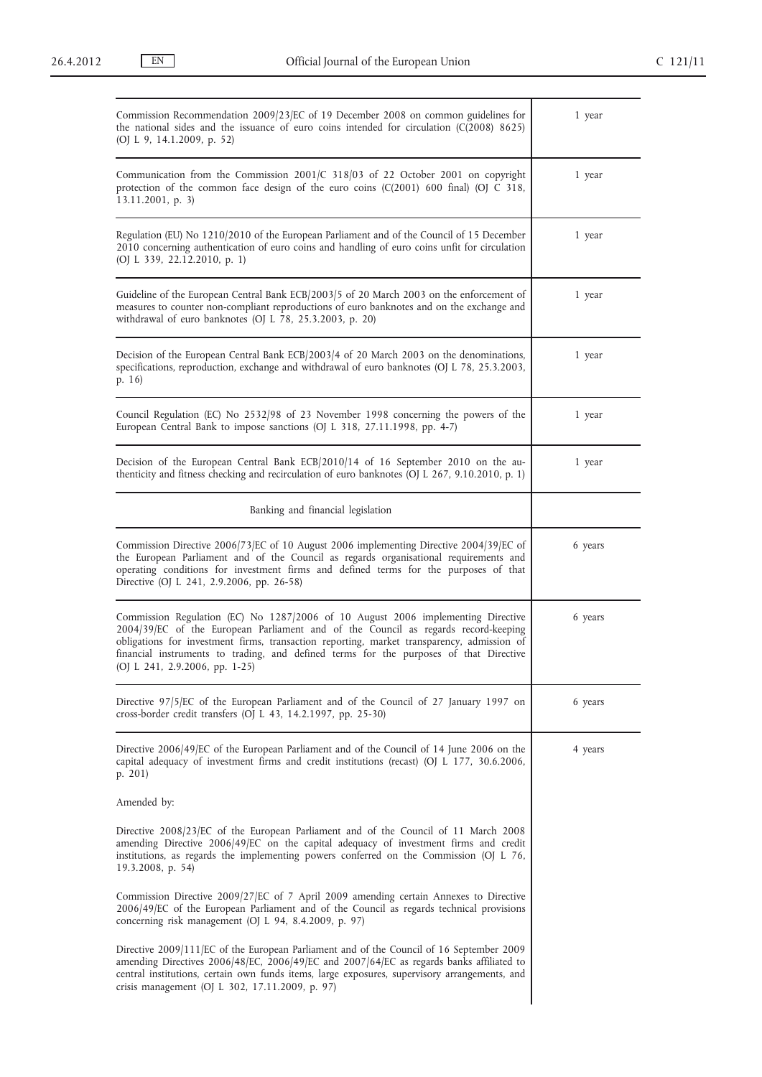| Commission Recommendation 2009/23/EC of 19 December 2008 on common guidelines for<br>the national sides and the issuance of euro coins intended for circulation $(C(2008) 8625)$<br>(OJ L 9, 14.1.2009, p. 52)                                                                                                                                                                                   | 1 year  |
|--------------------------------------------------------------------------------------------------------------------------------------------------------------------------------------------------------------------------------------------------------------------------------------------------------------------------------------------------------------------------------------------------|---------|
| Communication from the Commission $2001/C$ 318/03 of 22 October 2001 on copyright<br>protection of the common face design of the euro coins (C(2001) 600 final) (OJ C 318,<br>13.11.2001, p. 3)                                                                                                                                                                                                  | 1 year  |
| Regulation (EU) No 1210/2010 of the European Parliament and of the Council of 15 December<br>2010 concerning authentication of euro coins and handling of euro coins unfit for circulation<br>(OJ L 339, 22.12.2010, p. 1)                                                                                                                                                                       | 1 year  |
| Guideline of the European Central Bank ECB/2003/5 of 20 March 2003 on the enforcement of<br>measures to counter non-compliant reproductions of euro banknotes and on the exchange and<br>withdrawal of euro banknotes (OJ L 78, 25.3.2003, p. 20)                                                                                                                                                | 1 year  |
| Decision of the European Central Bank ECB/2003/4 of 20 March 2003 on the denominations,<br>specifications, reproduction, exchange and withdrawal of euro banknotes (OJ L 78, 25.3.2003,<br>p. 16)                                                                                                                                                                                                | 1 year  |
| Council Regulation (EC) No 2532/98 of 23 November 1998 concerning the powers of the<br>European Central Bank to impose sanctions (OJ L 318, 27.11.1998, pp. 4-7)                                                                                                                                                                                                                                 | 1 year  |
| Decision of the European Central Bank ECB/2010/14 of 16 September 2010 on the au-<br>thenticity and fitness checking and recirculation of euro banknotes (OJ L 267, 9.10.2010, p. 1)                                                                                                                                                                                                             | 1 year  |
| Banking and financial legislation                                                                                                                                                                                                                                                                                                                                                                |         |
| Commission Directive 2006/73/EC of 10 August 2006 implementing Directive 2004/39/EC of<br>the European Parliament and of the Council as regards organisational requirements and<br>operating conditions for investment firms and defined terms for the purposes of that<br>Directive (OJ L 241, 2.9.2006, pp. 26-58)                                                                             | 6 years |
| Commission Regulation (EC) No 1287/2006 of 10 August 2006 implementing Directive<br>2004/39/EC of the European Parliament and of the Council as regards record-keeping<br>obligations for investment firms, transaction reporting, market transparency, admission of<br>financial instruments to trading, and defined terms for the purposes of that Directive<br>(OJ L 241, 2.9.2006, pp. 1-25) | 6 years |
| Directive 97/5/EC of the European Parliament and of the Council of 27 January 1997 on<br>cross-border credit transfers (OJ L 43, 14.2.1997, pp. 25-30)                                                                                                                                                                                                                                           | 6 years |
| Directive 2006/49/EC of the European Parliament and of the Council of 14 June 2006 on the<br>capital adequacy of investment firms and credit institutions (recast) (OJ L 177, 30.6.2006,<br>p. $201$ )                                                                                                                                                                                           | 4 years |
| Amended by:                                                                                                                                                                                                                                                                                                                                                                                      |         |
| Directive 2008/23/EC of the European Parliament and of the Council of 11 March 2008<br>amending Directive 2006/49/EC on the capital adequacy of investment firms and credit<br>institutions, as regards the implementing powers conferred on the Commission (OJ L 76,<br>$19.3.2008$ , p. 54)                                                                                                    |         |
| Commission Directive 2009/27/EC of 7 April 2009 amending certain Annexes to Directive<br>2006/49/EC of the European Parliament and of the Council as regards technical provisions<br>concerning risk management (OJ L 94, 8.4.2009, p. 97)                                                                                                                                                       |         |
| Directive 2009/111/EC of the European Parliament and of the Council of 16 September 2009<br>amending Directives 2006/48/EC, 2006/49/EC and 2007/64/EC as regards banks affiliated to<br>central institutions, certain own funds items, large exposures, supervisory arrangements, and<br>crisis management (OJ L 302, 17.11.2009, p. 97)                                                         |         |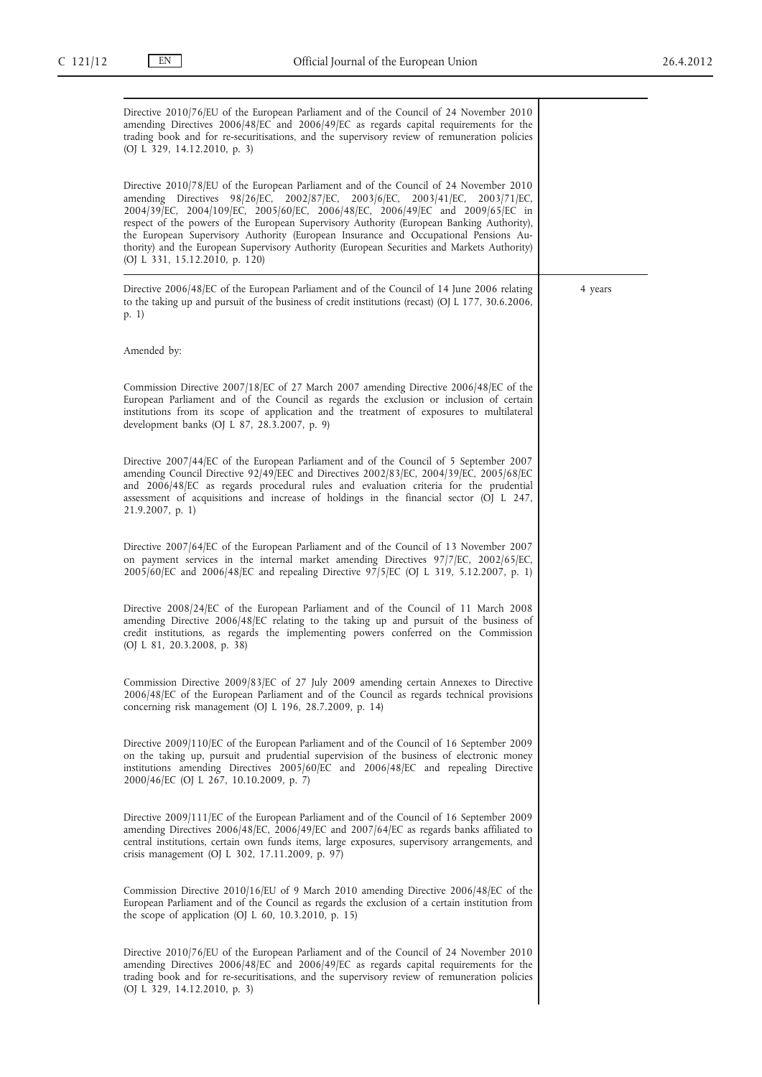Directive 2010/76/EU of the European Parliament and of the Council of 24 November 2010 amending Directives 2006/48/EC and 2006/49/EC as regards capital requirements for the trading book and for re-securitisations, and the supervisory review of remuneration policies (OJ L 329, 14.12.2010, p. 3) Directive 2010/78/EU of the European Parliament and of the Council of 24 November 2010 amending Directives 98/26/EC, 2002/87/EC, 2003/6/EC, 2003/41/EC, 2003/71/EC, 2004/39/EC, 2004/109/EC, 2005/60/EC, 2006/48/EC, 2006/49/EC and 2009/65/EC in respect of the powers of the European Supervisory Authority (European Banking Authority), the European Supervisory Authority (European Insurance and Occupational Pensions Authority) and the European Supervisory Authority (European Securities and Markets Authority) (OJ L 331, 15.12.2010, p. 120) Directive 2006/48/EC of the European Parliament and of the Council of 14 June 2006 relating to the taking up and pursuit of the business of credit institutions (recast) (OJ L 177, 30.6.2006, p. 1) Amended by: Commission Directive 2007/18/EC of 27 March 2007 amending Directive 2006/48/EC of the European Parliament and of the Council as regards the exclusion or inclusion of certain institutions from its scope of application and the treatment of exposures to multilateral development banks (OJ L 87, 28.3.2007, p. 9) Directive 2007/44/EC of the European Parliament and of the Council of 5 September 2007 amending Council Directive 92/49/EEC and Directives 2002/83/EC, 2004/39/EC, 2005/68/EC and 2006/48/EC as regards procedural rules and evaluation criteria for the prudential assessment of acquisitions and increase of holdings in the financial sector (OJ L 247, 21.9.2007, p. 1) Directive 2007/64/EC of the European Parliament and of the Council of 13 November 2007 on payment services in the internal market amending Directives 97/7/EC, 2002/65/EC, 2005/60/EC and 2006/48/EC and repealing Directive 97/5/EC (OJ L 319, 5.12.2007, p. 1) Directive 2008/24/EC of the European Parliament and of the Council of 11 March 2008 amending Directive 2006/48/EC relating to the taking up and pursuit of the business of credit institutions, as regards the implementing powers conferred on the Commission (OJ L 81, 20.3.2008, p. 38) Commission Directive 2009/83/EC of 27 July 2009 amending certain Annexes to Directive 2006/48/EC of the European Parliament and of the Council as regards technical provisions concerning risk management (OJ L 196, 28.7.2009, p. 14) Directive 2009/110/EC of the European Parliament and of the Council of 16 September 2009 on the taking up, pursuit and prudential supervision of the business of electronic money institutions amending Directives 2005/60/EC and 2006/48/EC and repealing Directive 2000/46/EC (OJ L 267, 10.10.2009, p. 7) Directive 2009/111/EC of the European Parliament and of the Council of 16 September 2009 amending Directives 2006/48/EC, 2006/49/EC and 2007/64/EC as regards banks affiliated to central institutions, certain own funds items, large exposures, supervisory arrangements, and crisis management (OJ L 302, 17.11.2009, p. 97) Commission Directive 2010/16/EU of 9 March 2010 amending Directive 2006/48/EC of the European Parliament and of the Council as regards the exclusion of a certain institution from the scope of application (OJ L 60, 10.3.2010, p. 15) Directive 2010/76/EU of the European Parliament and of the Council of 24 November 2010 amending Directives 2006/48/EC and 2006/49/EC as regards capital requirements for the trading book and for re-securitisations, and the supervisory review of remuneration policies (OJ L 329, 14.12.2010, p. 3) 4 years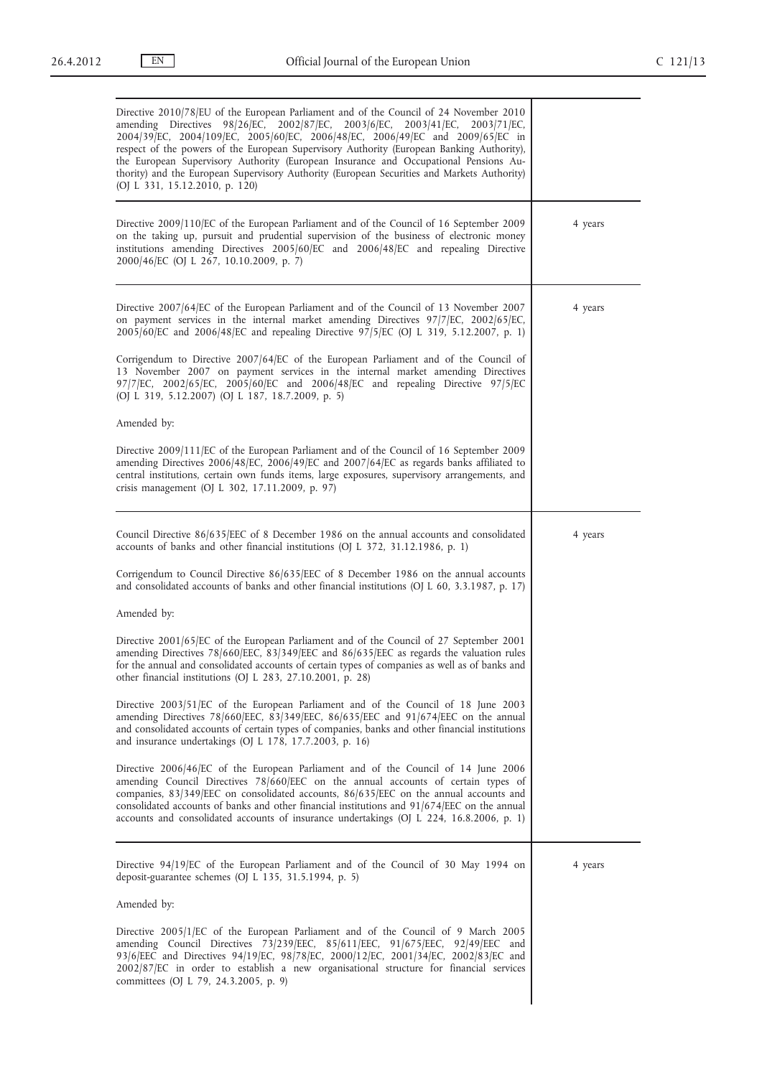| Directive 2010/78/EU of the European Parliament and of the Council of 24 November 2010<br>98/26/EC, 2002/87/EC, 2003/6/EC, 2003/41/EC, 2003/71/EC,<br>amending Directives<br>2004/39/EC, 2004/109/EC, 2005/60/EC, 2006/48/EC, 2006/49/EC and 2009/65/EC in<br>respect of the powers of the European Supervisory Authority (European Banking Authority),<br>the European Supervisory Authority (European Insurance and Occupational Pensions Au-<br>thority) and the European Supervisory Authority (European Securities and Markets Authority)<br>(OJ L 331, 15.12.2010, p. 120) |         |
|----------------------------------------------------------------------------------------------------------------------------------------------------------------------------------------------------------------------------------------------------------------------------------------------------------------------------------------------------------------------------------------------------------------------------------------------------------------------------------------------------------------------------------------------------------------------------------|---------|
| Directive 2009/110/EC of the European Parliament and of the Council of 16 September 2009<br>on the taking up, pursuit and prudential supervision of the business of electronic money<br>institutions amending Directives 2005/60/EC and 2006/48/EC and repealing Directive<br>2000/46/EC (OJ L 267, 10.10.2009, p. 7)                                                                                                                                                                                                                                                            | 4 years |
| Directive 2007/64/EC of the European Parliament and of the Council of 13 November 2007<br>on payment services in the internal market amending Directives 97/7/EC, 2002/65/EC,<br>2005/60/EC and 2006/48/EC and repealing Directive 97/5/EC (OJ L 319, 5.12.2007, p. 1)                                                                                                                                                                                                                                                                                                           | 4 years |
| Corrigendum to Directive 2007/64/EC of the European Parliament and of the Council of<br>13 November 2007 on payment services in the internal market amending Directives<br>$97/7$ /EC, 2002/65/EC, 2005/60/EC and 2006/48/EC and repealing Directive $97/5$ /EC<br>(OJ L 319, 5.12.2007) (OJ L 187, 18.7.2009, p. 5)                                                                                                                                                                                                                                                             |         |
| Amended by:                                                                                                                                                                                                                                                                                                                                                                                                                                                                                                                                                                      |         |
| Directive 2009/111/EC of the European Parliament and of the Council of 16 September 2009<br>amending Directives 2006/48/EC, 2006/49/EC and 2007/64/EC as regards banks affiliated to<br>central institutions, certain own funds items, large exposures, supervisory arrangements, and<br>crisis management (OJ L 302, 17.11.2009, p. 97)                                                                                                                                                                                                                                         |         |
|                                                                                                                                                                                                                                                                                                                                                                                                                                                                                                                                                                                  |         |
| Council Directive 86/635/EEC of 8 December 1986 on the annual accounts and consolidated<br>accounts of banks and other financial institutions (OJ L 372, 31.12.1986, p. 1)                                                                                                                                                                                                                                                                                                                                                                                                       | 4 years |
| Corrigendum to Council Directive 86/635/EEC of 8 December 1986 on the annual accounts<br>and consolidated accounts of banks and other financial institutions (OJ L 60, 3.3.1987, p. 17)                                                                                                                                                                                                                                                                                                                                                                                          |         |
| Amended by:                                                                                                                                                                                                                                                                                                                                                                                                                                                                                                                                                                      |         |
| Directive 2001/65/EC of the European Parliament and of the Council of 27 September 2001<br>amending Directives 78/660/EEC, 83/349/EEC and 86/635/EEC as regards the valuation rules<br>for the annual and consolidated accounts of certain types of companies as well as of banks and<br>other financial institutions (OJ L 283, 27.10.2001, p. 28)                                                                                                                                                                                                                              |         |
| Directive $2003/51/EC$ of the European Parliament and of the Council of 18 June 2003<br>amending Directives 78/660/EEC, 83/349/EEC, 86/635/EEC and 91/674/EEC on the annual<br>and consolidated accounts of certain types of companies, banks and other financial institutions<br>and insurance undertakings (OJ L $178$ , $17.7.2003$ , p. 16)                                                                                                                                                                                                                                  |         |
| Directive 2006/46/EC of the European Parliament and of the Council of 14 June 2006<br>amending Council Directives 78/660/EEC on the annual accounts of certain types of<br>companies, 83/349/EEC on consolidated accounts, 86/635/EEC on the annual accounts and<br>consolidated accounts of banks and other financial institutions and $91/674/EEC$ on the annual<br>accounts and consolidated accounts of insurance undertakings (OJ L 224, 16.8.2006, p. 1)                                                                                                                   |         |
| Directive 94/19/EC of the European Parliament and of the Council of 30 May 1994 on                                                                                                                                                                                                                                                                                                                                                                                                                                                                                               | 4 years |
| deposit-guarantee schemes (OJ L 135, 31.5.1994, p. 5)                                                                                                                                                                                                                                                                                                                                                                                                                                                                                                                            |         |
| Amended by:                                                                                                                                                                                                                                                                                                                                                                                                                                                                                                                                                                      |         |
| Directive 2005/1/EC of the European Parliament and of the Council of 9 March 2005<br>amending Council Directives 73/239/EEC, 85/611/EEC, 91/675/EEC, 92/49/EEC and<br>93/6/EEC and Directives 94/19/EC, 98/78/EC, 2000/12/EC, 2001/34/EC, 2002/83/EC and<br>2002/87/EC in order to establish a new organisational structure for financial services<br>committees (OJ L 79, 24.3.2005, p. 9)                                                                                                                                                                                      |         |
|                                                                                                                                                                                                                                                                                                                                                                                                                                                                                                                                                                                  |         |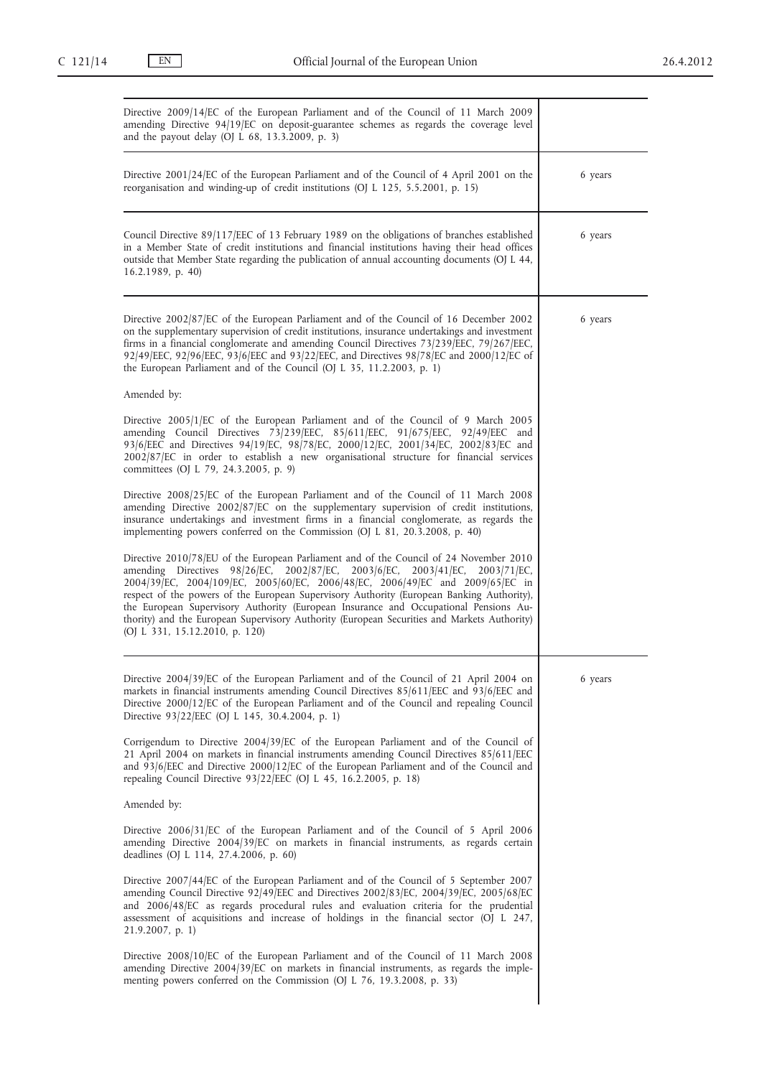| Directive 2009/14/EC of the European Parliament and of the Council of 11 March 2009<br>amending Directive 94/19/EC on deposit-guarantee schemes as regards the coverage level<br>and the payout delay (OJ L 68, 13.3.2009, p. 3)                                                                                                                                                                                                                                                                                                                                              |         |
|-------------------------------------------------------------------------------------------------------------------------------------------------------------------------------------------------------------------------------------------------------------------------------------------------------------------------------------------------------------------------------------------------------------------------------------------------------------------------------------------------------------------------------------------------------------------------------|---------|
| Directive 2001/24/EC of the European Parliament and of the Council of 4 April 2001 on the<br>reorganisation and winding-up of credit institutions (OJ L 125, 5.5.2001, p. 15)                                                                                                                                                                                                                                                                                                                                                                                                 | 6 years |
| Council Directive 89/117/EEC of 13 February 1989 on the obligations of branches established<br>in a Member State of credit institutions and financial institutions having their head offices<br>outside that Member State regarding the publication of annual accounting documents (OJ L 44,<br>$16.2.1989$ , p. 40)                                                                                                                                                                                                                                                          | 6 years |
| Directive 2002/87/EC of the European Parliament and of the Council of 16 December 2002<br>on the supplementary supervision of credit institutions, insurance undertakings and investment<br>firms in a financial conglomerate and amending Council Directives 73/239/EEC, 79/267/EEC,<br>92/49/EEC, 92/96/EEC, 93/6/EEC and 93/22/EEC, and Directives 98/78/EC and 2000/12/EC of<br>the European Parliament and of the Council (OJ L 35, 11.2.2003, p. 1)                                                                                                                     | 6 years |
| Amended by:                                                                                                                                                                                                                                                                                                                                                                                                                                                                                                                                                                   |         |
| Directive 2005/1/EC of the European Parliament and of the Council of 9 March 2005<br>amending Council Directives 73/239/EEC, 85/611/EEC, 91/675/EEC, 92/49/EEC and<br>93/6/EEC and Directives 94/19/EC, 98/78/EC, 2000/12/EC, 2001/34/EC, 2002/83/EC and<br>2002/87/EC in order to establish a new organisational structure for financial services<br>committees (OJ L 79, 24.3.2005, p. 9)                                                                                                                                                                                   |         |
| Directive 2008/25/EC of the European Parliament and of the Council of 11 March 2008<br>amending Directive 2002/87/EC on the supplementary supervision of credit institutions,<br>insurance undertakings and investment firms in a financial conglomerate, as regards the<br>implementing powers conferred on the Commission (OJ L 81, 20.3.2008, p. 40)                                                                                                                                                                                                                       |         |
| Directive 2010/78/EU of the European Parliament and of the Council of 24 November 2010<br>amending Directives 98/26/EC, 2002/87/EC, 2003/6/EC, 2003/41/EC, 2003/71/EC,<br>2004/39/EC, 2004/109/EC, 2005/60/EC, 2006/48/EC, 2006/49/EC and 2009/65/EC in<br>respect of the powers of the European Supervisory Authority (European Banking Authority),<br>the European Supervisory Authority (European Insurance and Occupational Pensions Au-<br>thority) and the European Supervisory Authority (European Securities and Markets Authority)<br>(OJ L 331, 15.12.2010, p. 120) |         |
|                                                                                                                                                                                                                                                                                                                                                                                                                                                                                                                                                                               |         |
| Directive 2004/39/EC of the European Parliament and of the Council of 21 April 2004 on<br>markets in financial instruments amending Council Directives 85/611/EEC and 93/6/EEC and<br>Directive 2000/12/EC of the European Parliament and of the Council and repealing Council<br>Directive 93/22/EEC (OJ L 145, 30.4.2004, p. 1)                                                                                                                                                                                                                                             | 6 years |
| Corrigendum to Directive $2004/39$ /EC of the European Parliament and of the Council of<br>21 April 2004 on markets in financial instruments amending Council Directives 85/611/EEC<br>and $93/6$ /EEC and Directive 2000/12/EC of the European Parliament and of the Council and<br>repealing Council Directive $93/22/EEC$ (OJ L 45, 16.2.2005, p. 18)                                                                                                                                                                                                                      |         |
| Amended by:                                                                                                                                                                                                                                                                                                                                                                                                                                                                                                                                                                   |         |
| Directive 2006/31/EC of the European Parliament and of the Council of 5 April 2006<br>amending Directive 2004/39/EC on markets in financial instruments, as regards certain<br>deadlines (OJ L 114, 27.4.2006, p. 60)                                                                                                                                                                                                                                                                                                                                                         |         |
| Directive 2007/44/EC of the European Parliament and of the Council of 5 September 2007<br>amending Council Directive $92/49/EE$ C and Directives $2002/83/EC$ , $2004/39/EC$ , $2005/68/EC$<br>and 2006/48/EC as regards procedural rules and evaluation criteria for the prudential<br>assessment of acquisitions and increase of holdings in the financial sector (OJ L 247,<br>$21.9.2007$ , p. 1)                                                                                                                                                                         |         |
| Directive 2008/10/EC of the European Parliament and of the Council of 11 March 2008<br>amending Directive $2004/39$ /EC on markets in financial instruments, as regards the imple-<br>menting powers conferred on the Commission (OJ L 76, 19.3.2008, p. 33)                                                                                                                                                                                                                                                                                                                  |         |
|                                                                                                                                                                                                                                                                                                                                                                                                                                                                                                                                                                               |         |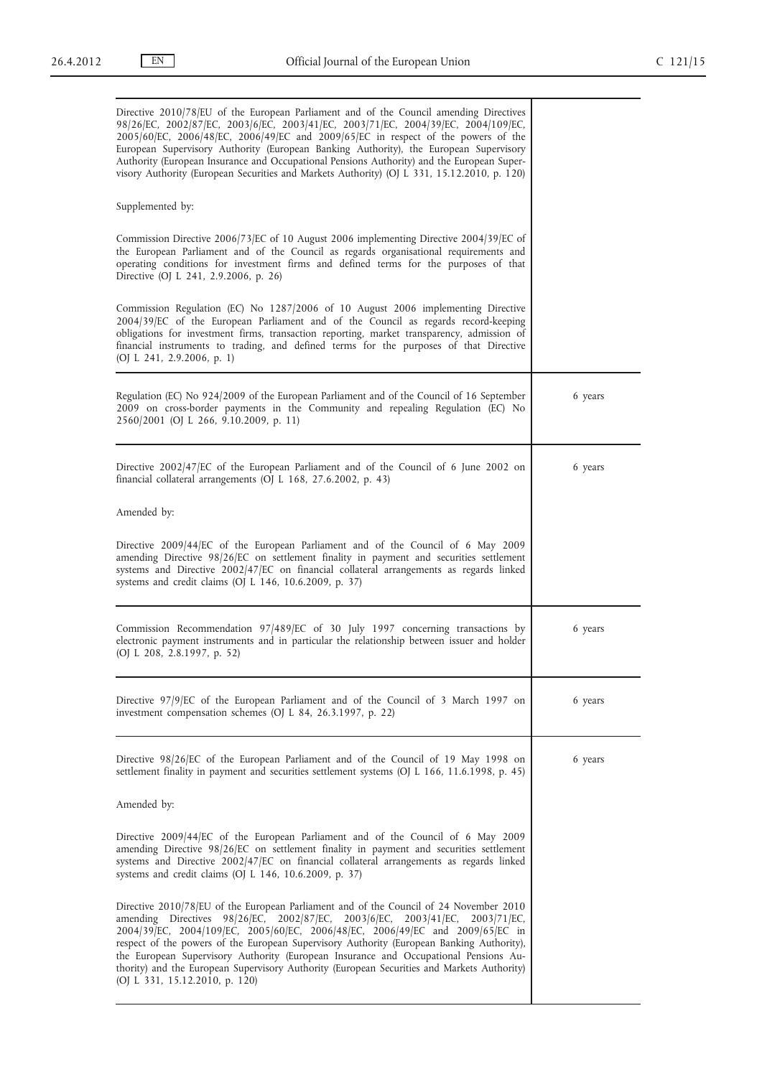| Directive 2010/78/EU of the European Parliament and of the Council amending Directives<br>98/26/EC, 2002/87/EC, 2003/6/EC, 2003/41/EC, 2003/71/EC, 2004/39/EC, 2004/109/EC,<br>2005/60/EC, 2006/48/EC, 2006/49/EC and 2009/65/EC in respect of the powers of the<br>European Supervisory Authority (European Banking Authority), the European Supervisory<br>Authority (European Insurance and Occupational Pensions Authority) and the European Super-<br>visory Authority (European Securities and Markets Authority) (OJ L 331, 15.12.2010, p. 120)                                          |         |
|-------------------------------------------------------------------------------------------------------------------------------------------------------------------------------------------------------------------------------------------------------------------------------------------------------------------------------------------------------------------------------------------------------------------------------------------------------------------------------------------------------------------------------------------------------------------------------------------------|---------|
| Supplemented by:                                                                                                                                                                                                                                                                                                                                                                                                                                                                                                                                                                                |         |
| Commission Directive 2006/73/EC of 10 August 2006 implementing Directive 2004/39/EC of<br>the European Parliament and of the Council as regards organisational requirements and<br>operating conditions for investment firms and defined terms for the purposes of that<br>Directive (OJ L 241, 2.9.2006, p. 26)                                                                                                                                                                                                                                                                                |         |
| Commission Regulation (EC) No 1287/2006 of 10 August 2006 implementing Directive<br>2004/39/EC of the European Parliament and of the Council as regards record-keeping<br>obligations for investment firms, transaction reporting, market transparency, admission of<br>financial instruments to trading, and defined terms for the purposes of that Directive<br>(OJ L 241, 2.9.2006, p. 1)                                                                                                                                                                                                    |         |
| Regulation (EC) No 924/2009 of the European Parliament and of the Council of 16 September<br>2009 on cross-border payments in the Community and repealing Regulation (EC) No<br>2560/2001 (OJ L 266, 9.10.2009, p. 11)                                                                                                                                                                                                                                                                                                                                                                          | 6 years |
| Directive 2002/47/EC of the European Parliament and of the Council of 6 June 2002 on<br>financial collateral arrangements (OJ $L$ 168, 27.6.2002, p. 43)                                                                                                                                                                                                                                                                                                                                                                                                                                        | 6 years |
| Amended by:                                                                                                                                                                                                                                                                                                                                                                                                                                                                                                                                                                                     |         |
| Directive 2009/44/EC of the European Parliament and of the Council of 6 May 2009<br>amending Directive 98/26/EC on settlement finality in payment and securities settlement<br>systems and Directive 2002/47/EC on financial collateral arrangements as regards linked<br>systems and credit claims (OJ L 146, 10.6.2009, p. 37)                                                                                                                                                                                                                                                                |         |
| Commission Recommendation 97/489/EC of 30 July 1997 concerning transactions by<br>electronic payment instruments and in particular the relationship between issuer and holder<br>(OJ L 208, 2.8.1997, p. 52)                                                                                                                                                                                                                                                                                                                                                                                    | 6 years |
| Directive 97/9/EC of the European Parliament and of the Council of 3 March 1997 on<br>investment compensation schemes (OJ L 84, 26.3.1997, p. 22)                                                                                                                                                                                                                                                                                                                                                                                                                                               | 6 years |
| Directive 98/26/EC of the European Parliament and of the Council of 19 May 1998 on<br>settlement finality in payment and securities settlement systems (OJ L 166, 11.6.1998, p. 45)                                                                                                                                                                                                                                                                                                                                                                                                             | 6 years |
| Amended by:                                                                                                                                                                                                                                                                                                                                                                                                                                                                                                                                                                                     |         |
| Directive 2009/44/EC of the European Parliament and of the Council of 6 May 2009<br>amending Directive 98/26/EC on settlement finality in payment and securities settlement<br>systems and Directive 2002/47/EC on financial collateral arrangements as regards linked<br>systems and credit claims (OJ L 146, 10.6.2009, p. 37)                                                                                                                                                                                                                                                                |         |
| Directive 2010/78/EU of the European Parliament and of the Council of 24 November 2010<br>98/26/EC, 2002/87/EC,<br>$2003/6$ /EC,<br>amending Directives<br>$2003/41$ /EC,<br>2003/71/EC.<br>2004/39/EC, 2004/109/EC, 2005/60/EC, 2006/48/EC, 2006/49/EC and 2009/65/EC in<br>respect of the powers of the European Supervisory Authority (European Banking Authority),<br>the European Supervisory Authority (European Insurance and Occupational Pensions Au-<br>thority) and the European Supervisory Authority (European Securities and Markets Authority)<br>(OJ L 331, 15.12.2010, p. 120) |         |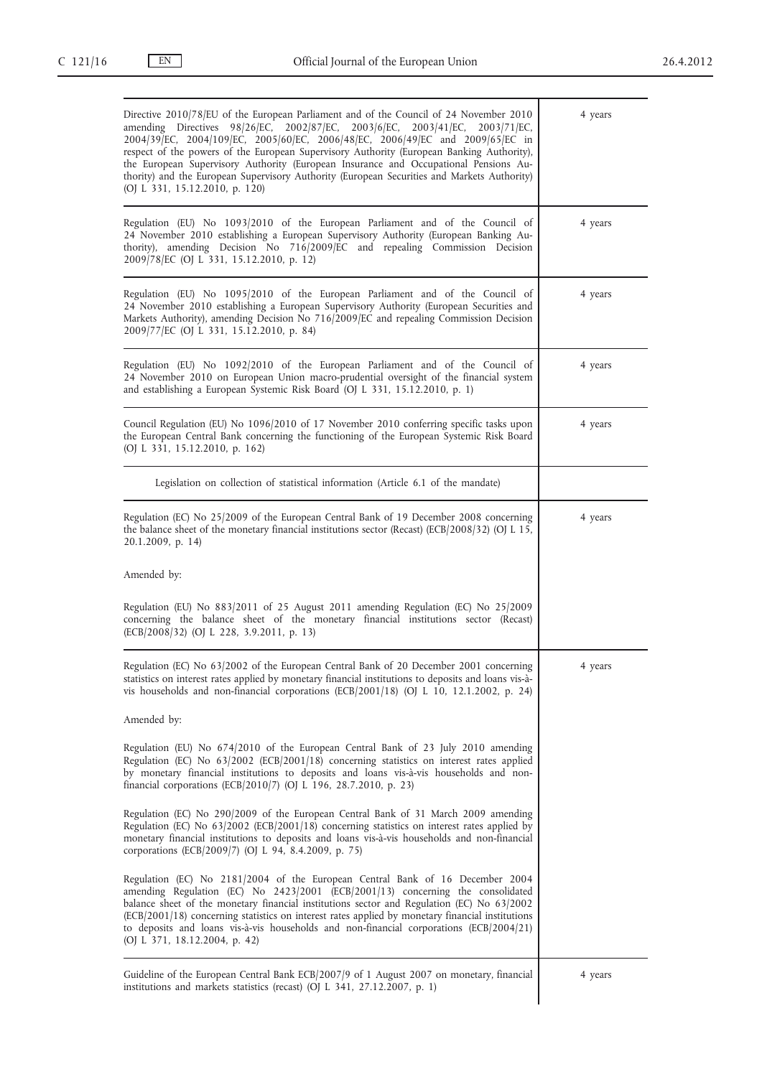| Directive 2010/78/EU of the European Parliament and of the Council of 24 November 2010<br>amending Directives 98/26/EC, 2002/87/EC, 2003/6/EC, 2003/41/EC, 2003/71/EC,<br>2004/39/EC, 2004/109/EC, 2005/60/EC, 2006/48/EC, 2006/49/EC and 2009/65/EC in<br>respect of the powers of the European Supervisory Authority (European Banking Authority),<br>the European Supervisory Authority (European Insurance and Occupational Pensions Au-<br>thority) and the European Supervisory Authority (European Securities and Markets Authority)<br>(OJ L 331, 15.12.2010, p. 120) | 4 years |
|-------------------------------------------------------------------------------------------------------------------------------------------------------------------------------------------------------------------------------------------------------------------------------------------------------------------------------------------------------------------------------------------------------------------------------------------------------------------------------------------------------------------------------------------------------------------------------|---------|
| Regulation (EU) No 1093/2010 of the European Parliament and of the Council of<br>24 November 2010 establishing a European Supervisory Authority (European Banking Au-<br>thority), amending Decision No 716/2009/EC and repealing Commission Decision<br>2009/78/EC (OJ L 331, 15.12.2010, p. 12)                                                                                                                                                                                                                                                                             | 4 years |
| Regulation (EU) No 1095/2010 of the European Parliament and of the Council of<br>24 November 2010 establishing a European Supervisory Authority (European Securities and<br>Markets Authority), amending Decision No 716/2009/EC and repealing Commission Decision<br>2009/77/EC (OJ L 331, 15.12.2010, p. 84)                                                                                                                                                                                                                                                                | 4 years |
| Regulation (EU) No 1092/2010 of the European Parliament and of the Council of<br>24 November 2010 on European Union macro-prudential oversight of the financial system<br>and establishing a European Systemic Risk Board (OJ L 331, 15.12.2010, p. 1)                                                                                                                                                                                                                                                                                                                        | 4 years |
| Council Regulation (EU) No 1096/2010 of 17 November 2010 conferring specific tasks upon<br>the European Central Bank concerning the functioning of the European Systemic Risk Board<br>(OJ L 331, 15.12.2010, p. 162)                                                                                                                                                                                                                                                                                                                                                         | 4 years |
| Legislation on collection of statistical information (Article 6.1 of the mandate)                                                                                                                                                                                                                                                                                                                                                                                                                                                                                             |         |
| Regulation (EC) No 25/2009 of the European Central Bank of 19 December 2008 concerning<br>the balance sheet of the monetary financial institutions sector (Recast) (ECB/2008/32) (OJ L 15,<br>20.1.2009, p. 14)                                                                                                                                                                                                                                                                                                                                                               | 4 years |
| Amended by:                                                                                                                                                                                                                                                                                                                                                                                                                                                                                                                                                                   |         |
| Regulation (EU) No 883/2011 of 25 August 2011 amending Regulation (EC) No 25/2009<br>concerning the balance sheet of the monetary financial institutions sector (Recast)<br>(ECB/2008/32) (OJ L 228, 3.9.2011, p. 13)                                                                                                                                                                                                                                                                                                                                                         |         |
| Regulation (EC) No 63/2002 of the European Central Bank of 20 December 2001 concerning<br>statistics on interest rates applied by monetary financial institutions to deposits and loans vis-à-<br>vis households and non-financial corporations (ECB/2001/18) (OJ L 10, 12.1.2002, p. 24)                                                                                                                                                                                                                                                                                     | 4 years |
| Amended by:                                                                                                                                                                                                                                                                                                                                                                                                                                                                                                                                                                   |         |
| Regulation (EU) No 674/2010 of the European Central Bank of 23 July 2010 amending<br>Regulation (EC) No 63/2002 (ECB/2001/18) concerning statistics on interest rates applied<br>by monetary financial institutions to deposits and loans vis-à-vis households and non-<br>financial corporations (ECB/2010/7) (OJ L 196, 28.7.2010, p. 23)                                                                                                                                                                                                                                   |         |
|                                                                                                                                                                                                                                                                                                                                                                                                                                                                                                                                                                               |         |
| Regulation (EC) No 290/2009 of the European Central Bank of 31 March 2009 amending<br>Regulation (EC) No 63/2002 (ECB/2001/18) concerning statistics on interest rates applied by<br>monetary financial institutions to deposits and loans vis-à-vis households and non-financial<br>corporations (ECB/2009/7) (OJ L 94, 8.4.2009, p. 75)                                                                                                                                                                                                                                     |         |
| Regulation (EC) No 2181/2004 of the European Central Bank of 16 December 2004<br>amending Regulation (EC) No $2423/2001$ (ECB/2001/13) concerning the consolidated<br>balance sheet of the monetary financial institutions sector and Regulation (EC) No 63/2002<br>(ECB/2001/18) concerning statistics on interest rates applied by monetary financial institutions<br>to deposits and loans vis-à-vis households and non-financial corporations (ECB/2004/21)<br>(OJ L 371, 18.12.2004, p. 42)                                                                              |         |